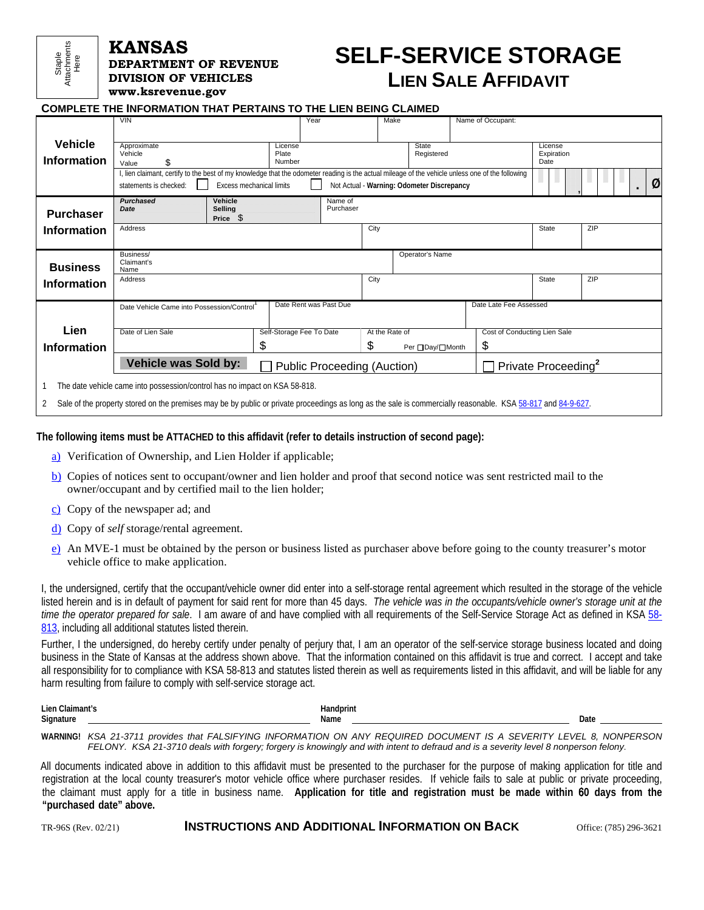## Staple Here Attachments

#### **KANSAS DEPARTMENT OF REVENUE**

**DIVISION OF VEHICLES [www.ksrevenue.](www.ksrevenue.org)gov**

# **SELF-SERVICE STORAGE LIEN SALE AFFIDAVIT**

| <b>COMPLETE THE INFORMATION THAT PERTAINS TO THE LIEN BEING CLAIMED</b> |                                                                                                                                                              |                                                                                                                                                 |                        |                |                                            |                              |                    |     |
|-------------------------------------------------------------------------|--------------------------------------------------------------------------------------------------------------------------------------------------------------|-------------------------------------------------------------------------------------------------------------------------------------------------|------------------------|----------------|--------------------------------------------|------------------------------|--------------------|-----|
|                                                                         | <b>VIN</b>                                                                                                                                                   |                                                                                                                                                 | Year                   | Make           |                                            | Name of Occupant:            |                    |     |
| <b>Vehicle</b>                                                          | Approximate                                                                                                                                                  | License                                                                                                                                         |                        |                | State                                      |                              | License            |     |
| <b>Information</b>                                                      | Vehicle<br>\$                                                                                                                                                | Plate<br>Number                                                                                                                                 |                        |                | Registered                                 |                              | Expiration<br>Date |     |
|                                                                         | Value                                                                                                                                                        | , lien claimant, certify to the best of my knowledge that the odometer reading is the actual mileage of the vehicle unless one of the following |                        |                |                                            |                              |                    |     |
|                                                                         |                                                                                                                                                              | <b>Excess mechanical limits</b>                                                                                                                 |                        |                |                                            |                              |                    | Ø   |
|                                                                         | statements is checked:                                                                                                                                       |                                                                                                                                                 |                        |                | Not Actual - Warning: Odometer Discrepancy |                              |                    |     |
|                                                                         | Purchased                                                                                                                                                    | Vehicle                                                                                                                                         | Name of                |                |                                            |                              |                    |     |
| <b>Purchaser</b>                                                        | Date                                                                                                                                                         | <b>Selling</b><br>S<br>Price                                                                                                                    | Purchaser              |                |                                            |                              |                    |     |
| <b>Information</b>                                                      | Address                                                                                                                                                      |                                                                                                                                                 |                        | City           |                                            |                              | State              | ZIP |
|                                                                         |                                                                                                                                                              |                                                                                                                                                 |                        |                |                                            |                              |                    |     |
|                                                                         | Business/                                                                                                                                                    |                                                                                                                                                 |                        |                |                                            |                              |                    |     |
| <b>Business</b>                                                         | Claimant's<br>Name                                                                                                                                           |                                                                                                                                                 |                        |                | Operator's Name                            |                              |                    |     |
| <b>Information</b>                                                      | Address                                                                                                                                                      |                                                                                                                                                 |                        | City           |                                            |                              | State              | ZIP |
|                                                                         |                                                                                                                                                              |                                                                                                                                                 |                        |                |                                            |                              |                    |     |
|                                                                         | Date Vehicle Came into Possession/Control                                                                                                                    |                                                                                                                                                 | Date Rent was Past Due |                |                                            | Date Late Fee Assessed       |                    |     |
|                                                                         |                                                                                                                                                              |                                                                                                                                                 |                        |                |                                            |                              |                    |     |
| Lien                                                                    | Date of Lien Sale                                                                                                                                            | Self-Storage Fee To Date                                                                                                                        |                        | At the Rate of |                                            | Cost of Conducting Lien Sale |                    |     |
|                                                                         |                                                                                                                                                              | \$                                                                                                                                              |                        | \$             |                                            |                              |                    |     |
| <b>Information</b>                                                      |                                                                                                                                                              |                                                                                                                                                 |                        |                | Per □Day/□Month                            | \$                           |                    |     |
|                                                                         | Vehicle was Sold by:<br>Private Proceeding <sup>2</sup><br><b>Public Proceeding (Auction)</b>                                                                |                                                                                                                                                 |                        |                |                                            |                              |                    |     |
|                                                                         |                                                                                                                                                              | The date vehicle came into possession/control has no impact on KSA 58-818.                                                                      |                        |                |                                            |                              |                    |     |
| 2                                                                       | Sale of the property stored on the premises may be by public or private proceedings as long as the sale is commercially reasonable. KSA 58-817 and 84-9-627. |                                                                                                                                                 |                        |                |                                            |                              |                    |     |

**The following items must be ATTACHED to this affidavit (refer to details instruction of second page):** 

- a) Verification of Ownership, and Lien Holder if applicable;
- b) Copies of notices sent to occupant/owner and lien holder and proof that second notice was sent restricted mail to the owner/occupant and by certified mail to the lien holder;
- c) Copy of the newspaper ad; and
- d) Copy of *self* storage/rental agreement.
- e) An MVE-1 must be obtained by the person or business listed as purchaser above before going to the county treasurer's motor vehicle office to make application.

I, the undersigned, certify that the occupant/vehicle owner did enter into a self-storage rental agreement which resulted in the storage of the vehicle listed herein and is in default of payment for said rent for more than 45 days. *The vehicle was in the occupants/vehicle owner's storage unit at the time the operator prepared for sale*. I am aware of and have complied with all requirements of the Self-Service Storage Act as defined in KSA 58- 813, including all additional statutes listed therein.

Further, I the undersigned, do hereby certify under penalty of perjury that, I am an operator of the self-service storage business located and doing business in the State of Kansas at the address shown above. That the information contained on this affidavit is true and correct. I accept and take all responsibility for to compliance with KSA 58-813 and statutes listed therein as well as requirements listed in this affidavit, and will be liable for any harm resulting from failure to comply with self-service storage act.

| Lien<br>`laimant <sup>.</sup><br>. | landr<br>$\sim$ $\sim$ |      |
|------------------------------------|------------------------|------|
| <b>Signature</b><br>. .            | Name<br>$\sim$ $\sim$  | Date |
|                                    |                        |      |

**WARNING!** *KSA 21-3711 provides that FALSIFYING INFORMATION ON ANY REQUIRED DOCUMENT IS A SEVERITY LEVEL 8, NONPERSON FELONY. KSA 21-3710 deals with forgery; forgery is knowingly and with intent to defraud and is a severity level 8 nonperson felony*.

All documents indicated above in addition to this affidavit must be presented to the purchaser for the purpose of making application for title and registration at the local county treasurer's motor vehicle office where purchaser resides. If vehicle fails to sale at public or private proceeding, the claimant must apply for a title in business name. **Application for title and registration must be made within** 6**0 days from the "purchased date" above.** 

TR-96S (Rev. 02/21) **INSTRUCTIONS AND ADDITIONAL INFORMATION ON BACK**